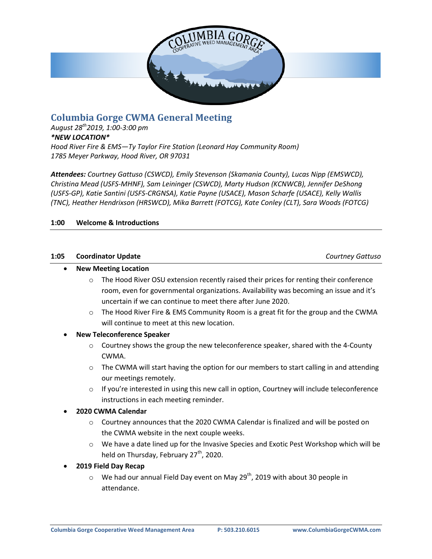

# **Columbia Gorge CWMA General Meeting**

*August 28th2019, 1:00-3:00 pm \*NEW LOCATION\* Hood River Fire & EMS—Ty Taylor Fire Station (Leonard Hay Community Room) 1785 Meyer Parkway, Hood River, OR 97031*

*Attendees: Courtney Gattuso (CSWCD), Emily Stevenson (Skamania County), Lucas Nipp (EMSWCD), Christina Mead (USFS-MHNF), Sam Leininger (CSWCD), Marty Hudson (KCNWCB), Jennifer DeShong (USFS-GP), Katie Santini (USFS-CRGNSA), Katie Payne (USACE), Mason Scharfe (USACE), Kelly Wallis (TNC), Heather Hendrixson (HRSWCD), Mika Barrett (FOTCG), Kate Conley (CLT), Sara Woods (FOTCG)*

## **1:00 Welcome & Introductions**

#### **1:05 Coordinator Update** *Courtney Gattuso*

#### **New Meeting Location**

- o The Hood River OSU extension recently raised their prices for renting their conference room, even for governmental organizations. Availability was becoming an issue and it's uncertain if we can continue to meet there after June 2020.
- $\circ$  The Hood River Fire & EMS Community Room is a great fit for the group and the CWMA will continue to meet at this new location.
- **New Teleconference Speaker**
	- $\circ$  Courtney shows the group the new teleconference speaker, shared with the 4-County CWMA.
	- $\circ$  The CWMA will start having the option for our members to start calling in and attending our meetings remotely.
	- $\circ$  If you're interested in using this new call in option, Courtney will include teleconference instructions in each meeting reminder.

#### **2020 CWMA Calendar**

- $\circ$  Courtney announces that the 2020 CWMA Calendar is finalized and will be posted on the CWMA website in the next couple weeks.
- $\circ$  We have a date lined up for the Invasive Species and Exotic Pest Workshop which will be held on Thursday, February 27<sup>th</sup>, 2020.
- **2019 Field Day Recap**
	- $\circ$  We had our annual Field Day event on May 29<sup>th</sup>, 2019 with about 30 people in attendance.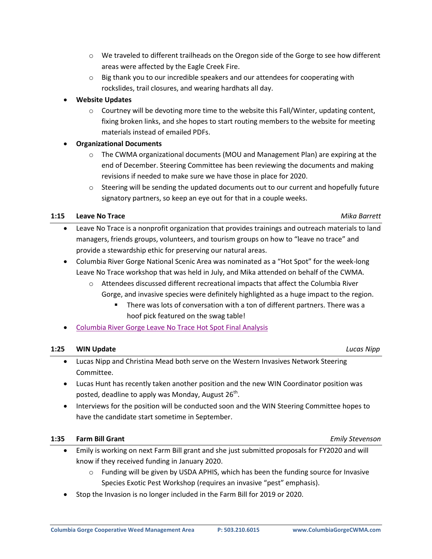- $\circ$  We traveled to different trailheads on the Oregon side of the Gorge to see how different areas were affected by the Eagle Creek Fire.
- $\circ$  Big thank you to our incredible speakers and our attendees for cooperating with rockslides, trail closures, and wearing hardhats all day.

# **Website Updates**

- $\circ$  Courtney will be devoting more time to the website this Fall/Winter, updating content, fixing broken links, and she hopes to start routing members to the website for meeting materials instead of emailed PDFs.
- **Organizational Documents**
	- $\circ$  The CWMA organizational documents (MOU and Management Plan) are expiring at the end of December. Steering Committee has been reviewing the documents and making revisions if needed to make sure we have those in place for 2020.
	- $\circ$  Steering will be sending the updated documents out to our current and hopefully future signatory partners, so keep an eye out for that in a couple weeks.

## **1:15 Leave No Trace** *Mika Barrett*

- Leave No Trace is a nonprofit organization that provides trainings and outreach materials to land managers, friends groups, volunteers, and tourism groups on how to "leave no trace" and provide a stewardship ethic for preserving our natural areas.
- Columbia River Gorge National Scenic Area was nominated as a "Hot Spot" for the week-long Leave No Trace workshop that was held in July, and Mika attended on behalf of the CWMA.
	- o Attendees discussed different recreational impacts that affect the Columbia River Gorge, and invasive species were definitely highlighted as a huge impact to the region.
		- There was lots of conversation with a ton of different partners. There was a hoof pick featured on the swag table!
- Columbia River Gorge Leave No Trace [Hot Spot Final Analysis](https://columbiagorgecwma.files.wordpress.com/2019/09/columbia-river-gorge-hot-spot-final-analysis.pdf)

# **1:25 WIN Update** *Lucas Nipp*

- Lucas Nipp and Christina Mead both serve on the Western Invasives Network Steering Committee.
- Lucas Hunt has recently taken another position and the new WIN Coordinator position was posted, deadline to apply was Monday, August 26<sup>th</sup>.
- Interviews for the position will be conducted soon and the WIN Steering Committee hopes to have the candidate start sometime in September.

# **1:35 Farm Bill Grant** *Emily Stevenson*

- Emily is working on next Farm Bill grant and she just submitted proposals for FY2020 and will know if they received funding in January 2020.
	- o Funding will be given by USDA APHIS, which has been the funding source for Invasive Species Exotic Pest Workshop (requires an invasive "pest" emphasis).
- Stop the Invasion is no longer included in the Farm Bill for 2019 or 2020.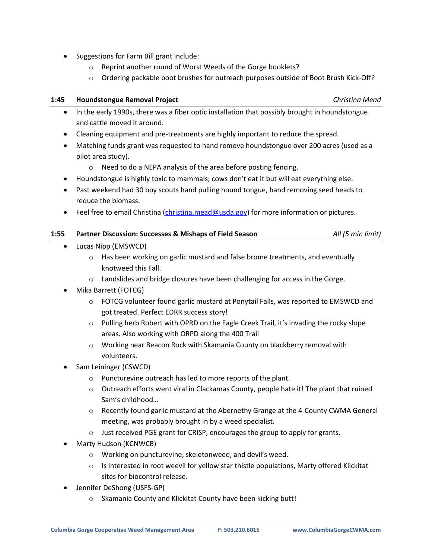- Suggestions for Farm Bill grant include:
	- o Reprint another round of Worst Weeds of the Gorge booklets?
	- o Ordering packable boot brushes for outreach purposes outside of Boot Brush Kick-Off?

### **1:45 Houndstongue Removal Project** *Christina Mead*

- In the early 1990s, there was a fiber optic installation that possibly brought in houndstongue and cattle moved it around.
- Cleaning equipment and pre-treatments are highly important to reduce the spread.
- Matching funds grant was requested to hand remove houndstongue over 200 acres (used as a pilot area study).
	- o Need to do a NEPA analysis of the area before posting fencing.
- Houndstongue is highly toxic to mammals; cows don't eat it but will eat everything else.
- Past weekend had 30 boy scouts hand pulling hound tongue, hand removing seed heads to reduce the biomass.
- **•** Feel free to email Christina (*christina.mead@usda.gov*) for more information or pictures.

#### **1:55 Partner Discussion: Successes & Mishaps of Field Season** *All (5 min limit)*

- Lucas Nipp (EMSWCD)
	- $\circ$  Has been working on garlic mustard and false brome treatments, and eventually knotweed this Fall.
	- o Landslides and bridge closures have been challenging for access in the Gorge.
- Mika Barrett (FOTCG)
	- $\circ$  FOTCG volunteer found garlic mustard at Ponytail Falls, was reported to EMSWCD and got treated. Perfect EDRR success story!
	- o Pulling herb Robert with OPRD on the Eagle Creek Trail, it's invading the rocky slope areas. Also working with ORPD along the 400 Trail
	- o Working near Beacon Rock with Skamania County on blackberry removal with volunteers.
- Sam Leininger (CSWCD)
	- o Puncturevine outreach has led to more reports of the plant.
	- $\circ$  Outreach efforts went viral in Clackamas County, people hate it! The plant that ruined Sam's childhood…
	- o Recently found garlic mustard at the Abernethy Grange at the 4-County CWMA General meeting, was probably brought in by a weed specialist.
	- o Just received PGE grant for CRISP, encourages the group to apply for grants.
- Marty Hudson (KCNWCB)
	- o Working on puncturevine, skeletonweed, and devil's weed.
	- $\circ$  Is interested in root weevil for yellow star thistle populations, Marty offered Klickitat sites for biocontrol release.
- Jennifer DeShong (USFS-GP)
	- o Skamania County and Klickitat County have been kicking butt!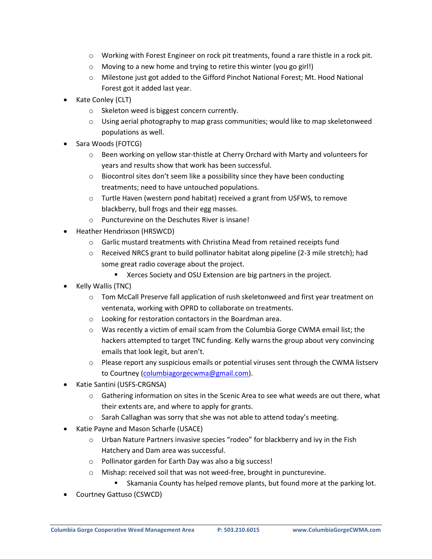- o Working with Forest Engineer on rock pit treatments, found a rare thistle in a rock pit.
- o Moving to a new home and trying to retire this winter (you go girl!)
- o Milestone just got added to the Gifford Pinchot National Forest; Mt. Hood National Forest got it added last year.
- Kate Conley (CLT)
	- o Skeleton weed is biggest concern currently.
	- $\circ$  Using aerial photography to map grass communities; would like to map skeletonweed populations as well.
- Sara Woods (FOTCG)
	- o Been working on yellow star-thistle at Cherry Orchard with Marty and volunteers for years and results show that work has been successful.
	- $\circ$  Biocontrol sites don't seem like a possibility since they have been conducting treatments; need to have untouched populations.
	- o Turtle Haven (western pond habitat) received a grant from USFWS, to remove blackberry, bull frogs and their egg masses.
	- o Puncturevine on the Deschutes River is insane!
- Heather Hendrixson (HRSWCD)
	- o Garlic mustard treatments with Christina Mead from retained receipts fund
	- $\circ$  Received NRCS grant to build pollinator habitat along pipeline (2-3 mile stretch); had some great radio coverage about the project.
		- **EXEL A** Xerces Society and OSU Extension are big partners in the project.
- Kelly Wallis (TNC)
	- o Tom McCall Preserve fall application of rush skeletonweed and first year treatment on ventenata, working with OPRD to collaborate on treatments.
	- o Looking for restoration contactors in the Boardman area.
	- o Was recently a victim of email scam from the Columbia Gorge CWMA email list; the hackers attempted to target TNC funding. Kelly warns the group about very convincing emails that look legit, but aren't.
	- $\circ$  Please report any suspicious emails or potential viruses sent through the CWMA listserv to Courtney [\(columbiagorgecwma@gmail.com\)](mailto:columbiagorgecwma@gmail.com).
- Katie Santini (USFS-CRGNSA)
	- o Gathering information on sites in the Scenic Area to see what weeds are out there, what their extents are, and where to apply for grants.
	- $\circ$  Sarah Callaghan was sorry that she was not able to attend today's meeting.
- Katie Payne and Mason Scharfe (USACE)
	- $\circ$  Urban Nature Partners invasive species "rodeo" for blackberry and ivy in the Fish Hatchery and Dam area was successful.
	- o Pollinator garden for Earth Day was also a big success!
	- o Mishap: received soil that was not weed-free, brought in puncturevine.
		- **Skamania County has helped remove plants, but found more at the parking lot.**
- Courtney Gattuso (CSWCD)